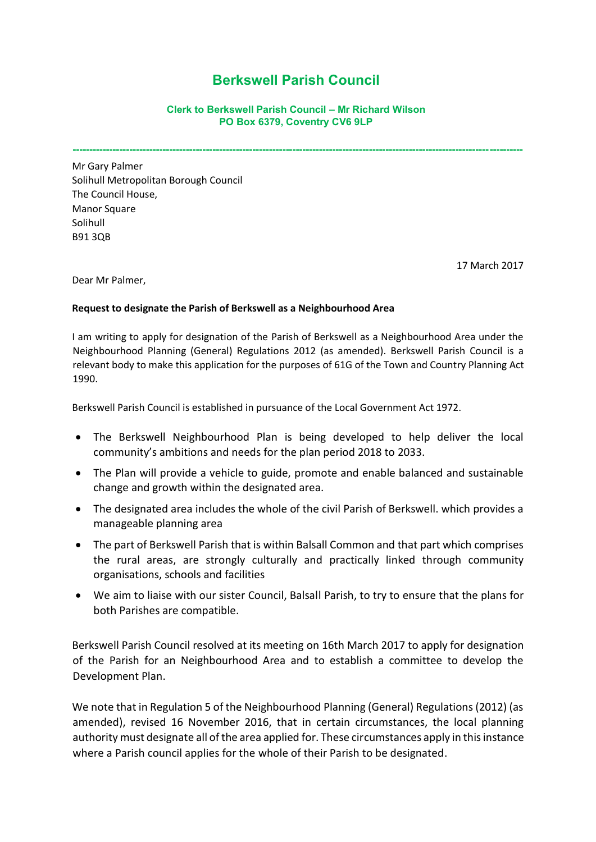## **Berkswell Parish Council**

## **Clerk to Berkswell Parish Council – Mr Richard Wilson PO Box 6379, Coventry CV6 9LP**

**---------------------------------------------------------------------------------------------------------------------------------------**

Mr Gary Palmer Solihull Metropolitan Borough Council The Council House, Manor Square Solihull B91 3QB

17 March 2017

Dear Mr Palmer,

## **Request to designate the Parish of Berkswell as a Neighbourhood Area**

I am writing to apply for designation of the Parish of Berkswell as a Neighbourhood Area under the Neighbourhood Planning (General) Regulations 2012 (as amended). Berkswell Parish Council is a relevant body to make this application for the purposes of 61G of the Town and Country Planning Act 1990.

Berkswell Parish Council is established in pursuance of the Local Government Act 1972.

- The Berkswell Neighbourhood Plan is being developed to help deliver the local community's ambitions and needs for the plan period 2018 to 2033.
- The Plan will provide a vehicle to guide, promote and enable balanced and sustainable change and growth within the designated area.
- The designated area includes the whole of the civil Parish of Berkswell. which provides a manageable planning area
- The part of Berkswell Parish that is within Balsall Common and that part which comprises the rural areas, are strongly culturally and practically linked through community organisations, schools and facilities
- We aim to liaise with our sister Council, Balsall Parish, to try to ensure that the plans for both Parishes are compatible.

Berkswell Parish Council resolved at its meeting on 16th March 2017 to apply for designation of the Parish for an Neighbourhood Area and to establish a committee to develop the Development Plan.

We note that in Regulation 5 of the Neighbourhood Planning (General) Regulations (2012) (as amended), revised 16 November 2016, that in certain circumstances, the local planning authority must designate all of the area applied for. These circumstances apply in this instance where a Parish council applies for the [whole of their Parish to be designated.](https://www.gov.uk/guidance/neighbourhood-planning--2#para032)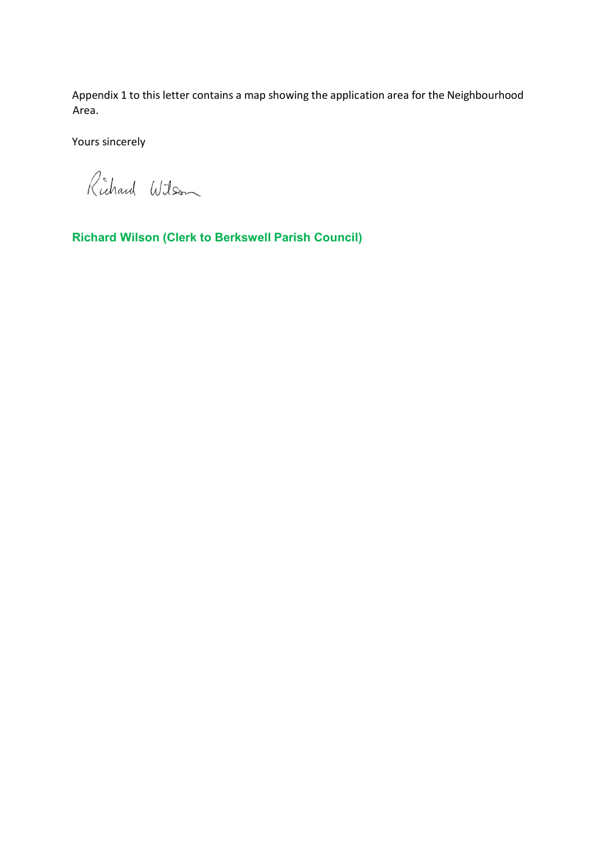Appendix 1 to this letter contains a map showing the application area for the Neighbourhood Area.

Yours sincerely

Richard Wilson

**Richard Wilson (Clerk to Berkswell Parish Council)**